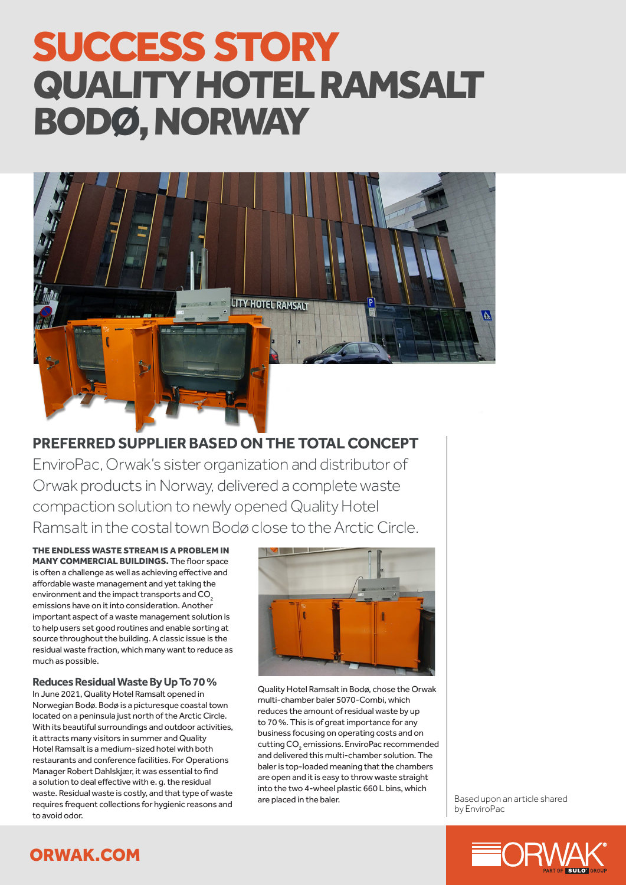# SUCCESS STORY QUALITY HOTEL RAMSALT BODØ, NORWAY



**PREFERRED SUPPLIER BASED ON THE TOTAL CONCEPT** EnviroPac, Orwak's sister organization and distributor of Orwak products in Norway, delivered a complete waste compaction solution to newly opened Quality Hotel Ramsalt in the costal town Bodø close to the Arctic Circle.

THE ENDLESS WASTE STREAM IS A PROBLEM IN MANY COMMERCIAL BUILDINGS. The floor space is often a challenge as well as achieving effective and affordable waste management and yet taking the environment and the impact transports and CO<sub>2</sub> emissions have on it into consideration. Another important aspect of a waste management solution is to help users set good routines and enable sorting at source throughout the building. A classic issue is the residual waste fraction, which many want to reduce as much as possible.

#### **Reduces Residual Waste By Up To 70 %**

In June 2021, Quality Hotel Ramsalt opened in Norwegian Bodø. Bodø is a picturesque coastal town located on a peninsula just north of the Arctic Circle. With its beautiful surroundings and outdoor activities, it attracts many visitors in summer and Quality Hotel Ramsalt is a medium-sized hotel with both restaurants and conference facilities. For Operations Manager Robert Dahlskjær, it was essential to find a solution to deal effective with e. g. the residual waste. Residual waste is costly, and that type of waste requires frequent collections for hygienic reasons and to avoid odor.



Quality Hotel Ramsalt in Bodø, chose the Orwak multi-chamber baler 5070-Combi, which reduces the amount of residual waste by up to 70 %. This is of great importance for any business focusing on operating costs and on cutting CO<sub>2</sub> emissions. EnviroPac recommended and delivered this multi-chamber solution. The baler is top-loaded meaning that the chambers are open and it is easy to throw waste straight into the two 4-wheel plastic 660 L bins, which<br>are placed in the baler.

Based upon an article shared by EnviroPac



## ORWAK.COM